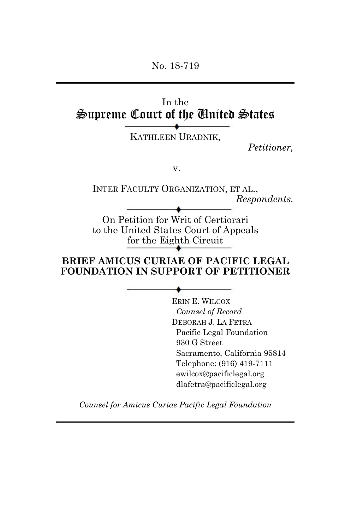No. 18-719

# In the Supreme Court of the United States

KATHLEEN URADNIK,

*Petitioner,*

v.

INTER FACULTY ORGANIZATION, ET AL., *Respondents.*

On Petition for Writ of Certiorari to the United States Court of Appeals for the Eighth Circuit

#### **BRIEF AMICUS CURIAE OF PACIFIC LEGAL FOUNDATION IN SUPPORT OF PETITIONER**

ERIN E. WILCOX *Counsel of Record* DEBORAH J. LA FETRA Pacific Legal Foundation 930 G Street Sacramento, California 95814 Telephone: (916) 419-7111 ewilcox@pacificlegal.org dlafetra@pacificlegal.org

*Counsel for Amicus Curiae Pacific Legal Foundation*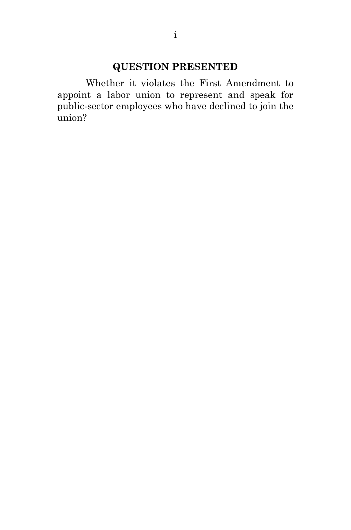# **QUESTION PRESENTED**

Whether it violates the First Amendment to appoint a labor union to represent and speak for public-sector employees who have declined to join the union?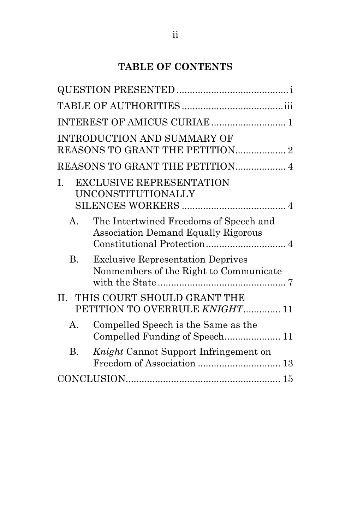# **TABLE OF CONTENTS**

|             | INTEREST OF AMICUS CURIAE  1                                                         |
|-------------|--------------------------------------------------------------------------------------|
|             | <b>INTRODUCTION AND SUMMARY OF</b><br>REASONS TO GRANT THE PETITION 2                |
|             | REASONS TO GRANT THE PETITION 4                                                      |
| Ι.          | <b>EXCLUSIVE REPRESENTATION</b><br>UNCONSTITUTIONALLY                                |
| $A_{-}$     | The Intertwined Freedoms of Speech and<br><b>Association Demand Equally Rigorous</b> |
| В.          | <b>Exclusive Representation Deprives</b><br>Nonmembers of the Right to Communicate   |
| II.         | THIS COURT SHOULD GRANT THE<br>PETITION TO OVERRULE KNIGHT 11                        |
| $A_{\cdot}$ | Compelled Speech is the Same as the<br>Compelled Funding of Speech 11                |
| В.          | Knight Cannot Support Infringement on                                                |
|             |                                                                                      |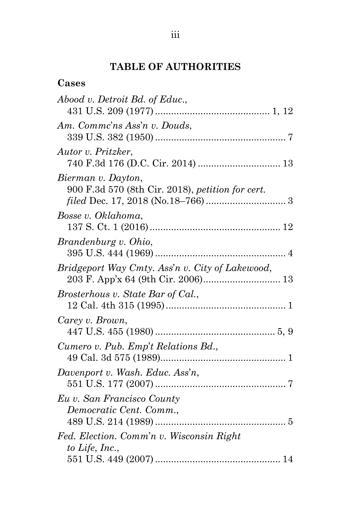## **TABLE OF AUTHORITIES**

| Cases                                                                  |
|------------------------------------------------------------------------|
| Abood v. Detroit Bd. of Educ.,                                         |
| Am. Commc'ns Ass'n v. Douds,                                           |
| Autor v. Pritzker,                                                     |
| Bierman v. Dayton,<br>900 F.3d 570 (8th Cir. 2018), petition for cert. |
| Bosse v. Oklahoma,                                                     |
| Brandenburg v. Ohio,                                                   |
| Bridgeport Way Cmty. Ass'n v. City of Lakewood,                        |
| Brosterhous v. State Bar of Cal.,                                      |
| Carey v. Brown,                                                        |
| Cumero v. Pub. Emp't Relations Bd.,                                    |
| Davenport v. Wash. Educ. Ass'n,                                        |
| Eu v. San Francisco County<br>Democratic Cent. Comm.,                  |
|                                                                        |
| Fed. Election. Comm'n v. Wisconsin Right<br>to Life, Inc.,             |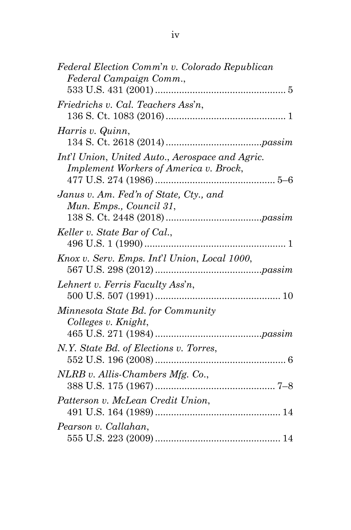| Federal Election Comm'n v. Colorado Republican                                                   |  |
|--------------------------------------------------------------------------------------------------|--|
| Federal Campaign Comm.,                                                                          |  |
| Friedrichs v. Cal. Teachers Ass'n,                                                               |  |
| Harris v. Quinn,                                                                                 |  |
| Int'l Union, United Auto., Aerospace and Agric.<br><b>Implement Workers of America v. Brock,</b> |  |
| Janus v. Am. Fed'n of State, Cty., and<br>Mun. Emps., Council 31,                                |  |
| Keller v. State Bar of Cal.,                                                                     |  |
| Knox v. Serv. Emps. Int'l Union, Local 1000,                                                     |  |
| Lehnert v. Ferris Faculty Ass'n,                                                                 |  |
| Minnesota State Bd. for Community<br>Colleges v. Knight,                                         |  |
| N.Y. State Bd. of Elections v. Torres,                                                           |  |
| $NLRB$ v. Allis-Chambers Mfg. Co.,                                                               |  |
| Patterson v. McLean Credit Union,                                                                |  |
| Pearson v. Callahan,                                                                             |  |
|                                                                                                  |  |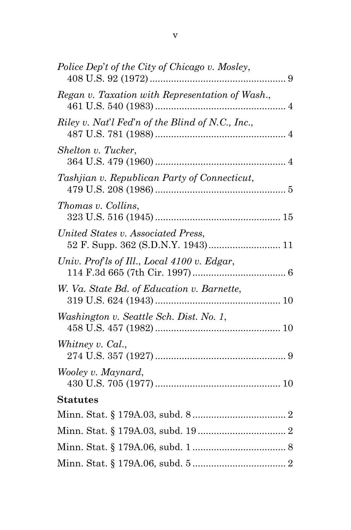| Police Dep't of the City of Chicago v. Mosley,   |
|--------------------------------------------------|
| Regan v. Taxation with Representation of Wash.,  |
| Riley v. Nat'l Fed'n of the Blind of N.C., Inc., |
| Shelton v. Tucker,                               |
| Tashjian v. Republican Party of Connecticut,     |
| Thomas v. Collins,                               |
| United States v. Associated Press,               |
| Univ. Prof ls of Ill., Local 4100 v. Edgar,      |
| W. Va. State Bd. of Education v. Barnette,       |
| Washington v. Seattle Sch. Dist. No. 1,          |
| Whitney v. Cal.,                                 |
| Wooley v. Maynard,                               |
| <b>Statutes</b>                                  |
|                                                  |
|                                                  |
|                                                  |
|                                                  |
|                                                  |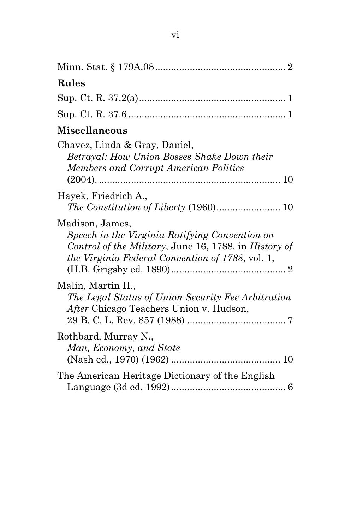| <b>Rules</b>                                                                                                                                                                          |
|---------------------------------------------------------------------------------------------------------------------------------------------------------------------------------------|
|                                                                                                                                                                                       |
|                                                                                                                                                                                       |
| Miscellaneous                                                                                                                                                                         |
| Chavez, Linda & Gray, Daniel,<br>Betrayal: How Union Bosses Shake Down their<br><b>Members and Corrupt American Politics</b>                                                          |
| Hayek, Friedrich A.,                                                                                                                                                                  |
| Madison, James,<br>Speech in the Virginia Ratifying Convention on<br>Control of the Military, June 16, 1788, in History of<br><i>the Virginia Federal Convention of 1788, vol. 1,</i> |
| Malin, Martin H.,<br>The Legal Status of Union Security Fee Arbitration<br>After Chicago Teachers Union v. Hudson,                                                                    |
| Rothbard, Murray N.,<br>Man, Economy, and State                                                                                                                                       |
| The American Heritage Dictionary of the English                                                                                                                                       |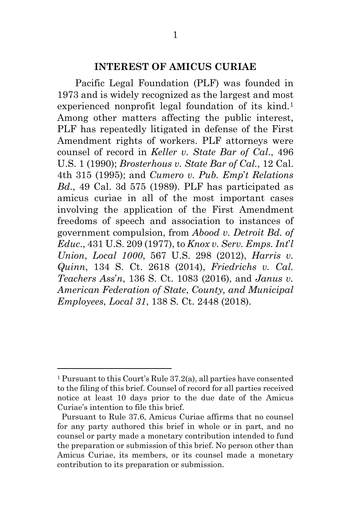#### **INTEREST OF AMICUS CURIAE**

Pacific Legal Foundation (PLF) was founded in 1973 and is widely recognized as the largest and most experienced nonprofit legal foundation of its kind.<sup>[1](#page-7-0)</sup> Among other matters affecting the public interest, PLF has repeatedly litigated in defense of the First Amendment rights of workers. PLF attorneys were counsel of record in *Keller v. State Bar of Cal*., 496 U.S. 1 (1990); *Brosterhous v. State Bar of Cal.*, 12 Cal. 4th 315 (1995); and *Cumero v. Pub. Emp*'*t Relations Bd*., 49 Cal. 3d 575 (1989). PLF has participated as amicus curiae in all of the most important cases involving the application of the First Amendment freedoms of speech and association to instances of government compulsion, from *Abood v. Detroit Bd. of Educ*., 431 U.S. 209 (1977), to *Knox v. Serv. Emps. Int*'*l Union*, *Local 1000*, 567 U.S. 298 (2012), *Harris v. Quinn*, 134 S. Ct. 2618 (2014), *Friedrichs v. Cal. Teachers Ass*'*n*, 136 S. Ct. 1083 (2016), and *Janus v. American Federation of State*, *County, and Municipal Employees*, *Local 31*, 138 S. Ct. 2448 (2018).

 $\overline{a}$ 

<span id="page-7-0"></span><sup>1</sup> Pursuant to this Court's Rule 37.2(a), all parties have consented to the filing of this brief. Counsel of record for all parties received notice at least 10 days prior to the due date of the Amicus Curiae's intention to file this brief.

Pursuant to Rule 37.6, Amicus Curiae affirms that no counsel for any party authored this brief in whole or in part, and no counsel or party made a monetary contribution intended to fund the preparation or submission of this brief. No person other than Amicus Curiae, its members, or its counsel made a monetary contribution to its preparation or submission.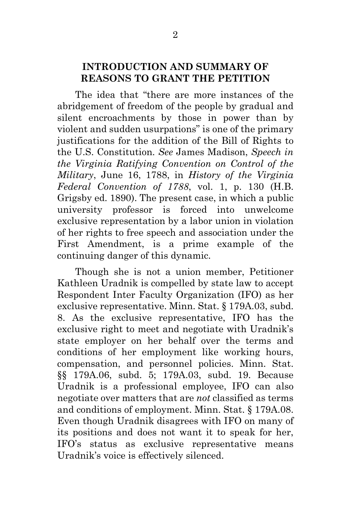#### **INTRODUCTION AND SUMMARY OF REASONS TO GRANT THE PETITION**

The idea that "there are more instances of the abridgement of freedom of the people by gradual and silent encroachments by those in power than by violent and sudden usurpations" is one of the primary justifications for the addition of the Bill of Rights to the U.S. Constitution. *See* James Madison, *Speech in the Virginia Ratifying Convention on Control of the Military*, June 16, 1788, in *History of the Virginia Federal Convention of 1788*, vol. 1, p. 130 (H.B. Grigsby ed. 1890). The present case, in which a public university professor is forced into unwelcome exclusive representation by a labor union in violation of her rights to free speech and association under the First Amendment, is a prime example of the continuing danger of this dynamic.

Though she is not a union member, Petitioner Kathleen Uradnik is compelled by state law to accept Respondent Inter Faculty Organization (IFO) as her exclusive representative. Minn. Stat. § 179A.03, subd. 8. As the exclusive representative, IFO has the exclusive right to meet and negotiate with Uradnik's state employer on her behalf over the terms and conditions of her employment like working hours, compensation, and personnel policies. Minn. Stat. §§ 179A.06, subd. 5; 179A.03, subd. 19. Because Uradnik is a professional employee, IFO can also negotiate over matters that are *not* classified as terms and conditions of employment. Minn. Stat. § 179A.08. Even though Uradnik disagrees with IFO on many of its positions and does not want it to speak for her, IFO's status as exclusive representative means Uradnik's voice is effectively silenced.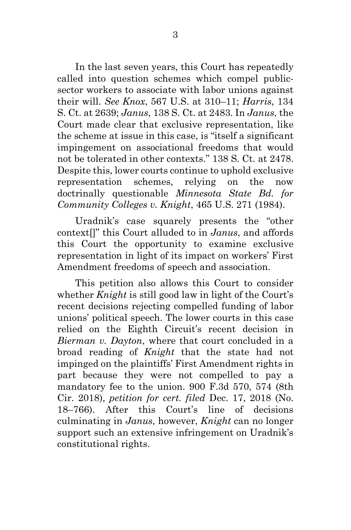In the last seven years, this Court has repeatedly called into question schemes which compel publicsector workers to associate with labor unions against their will. *See Knox*, 567 U.S. at 310–11; *Harris*, 134 S. Ct. at 2639; *Janus*, 138 S. Ct. at 2483. In *Janus*, the Court made clear that exclusive representation, like the scheme at issue in this case, is "itself a significant impingement on associational freedoms that would not be tolerated in other contexts." 138 S. Ct. at 2478. Despite this, lower courts continue to uphold exclusive representation schemes, relying on the now doctrinally questionable *Minnesota State Bd. for Community Colleges v. Knight*, 465 U.S. 271 (1984).

Uradnik's case squarely presents the "other context[]" this Court alluded to in *Janus*, and affords this Court the opportunity to examine exclusive representation in light of its impact on workers' First Amendment freedoms of speech and association.

This petition also allows this Court to consider whether *Knight* is still good law in light of the Court's recent decisions rejecting compelled funding of labor unions' political speech. The lower courts in this case relied on the Eighth Circuit's recent decision in *Bierman v. Dayton*, where that court concluded in a broad reading of *Knight* that the state had not impinged on the plaintiffs' First Amendment rights in part because they were not compelled to pay a mandatory fee to the union. 900 F.3d 570, 574 (8th Cir. 2018), *petition for cert. filed* Dec. 17, 2018 (No. 18–766). After this Court's line of decisions culminating in *Janus*, however, *Knight* can no longer support such an extensive infringement on Uradnik's constitutional rights.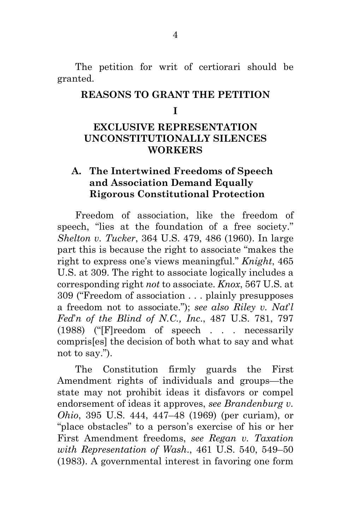The petition for writ of certiorari should be granted.

#### **REASONS TO GRANT THE PETITION**

#### **I**

### **EXCLUSIVE REPRESENTATION UNCONSTITUTIONALLY SILENCES WORKERS**

### **A. The Intertwined Freedoms of Speech and Association Demand Equally Rigorous Constitutional Protection**

Freedom of association, like the freedom of speech, "lies at the foundation of a free society." *Shelton v. Tucker*, 364 U.S. 479, 486 (1960). In large part this is because the right to associate "makes the right to express one's views meaningful." *Knight*, 465 U.S. at 309. The right to associate logically includes a corresponding right *not* to associate. *Knox*, 567 U.S. at 309 ("Freedom of association . . . plainly presupposes a freedom not to associate."); *see also Riley v. Nat*'*l Fed*'*n of the Blind of N.C., Inc*., 487 U.S. 781, 797 (1988) ("[F]reedom of speech . . . necessarily compris[es] the decision of both what to say and what not to say.").

The Constitution firmly guards the First Amendment rights of individuals and groups—the state may not prohibit ideas it disfavors or compel endorsement of ideas it approves, *see Brandenburg v. Ohio*, 395 U.S. 444, 447–48 (1969) (per curiam), or "place obstacles" to a person's exercise of his or her First Amendment freedoms, *see Regan v. Taxation with Representation of Wash*., 461 U.S. 540, 549–50 (1983). A governmental interest in favoring one form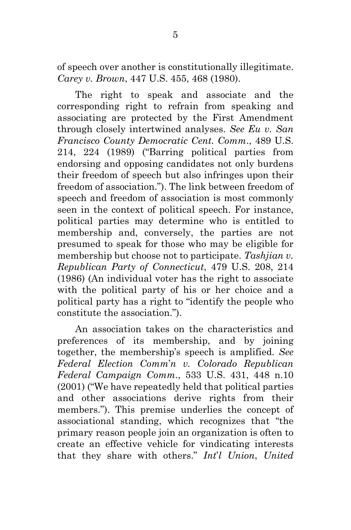of speech over another is constitutionally illegitimate. *Carey v. Brown*, 447 U.S. 455, 468 (1980).

The right to speak and associate and the corresponding right to refrain from speaking and associating are protected by the First Amendment through closely intertwined analyses. *See Eu v. San Francisco County Democratic Cent. Comm*., 489 U.S. 214, 224 (1989) ("Barring political parties from endorsing and opposing candidates not only burdens their freedom of speech but also infringes upon their freedom of association."). The link between freedom of speech and freedom of association is most commonly seen in the context of political speech. For instance, political parties may determine who is entitled to membership and, conversely, the parties are not presumed to speak for those who may be eligible for membership but choose not to participate. *Tashjian v. Republican Party of Connecticut*, 479 U.S. 208, 214 (1986) (An individual voter has the right to associate with the political party of his or her choice and a political party has a right to "identify the people who constitute the association.").

An association takes on the characteristics and preferences of its membership, and by joining together, the membership's speech is amplified. *See Federal Election Comm*'*n v. Colorado Republican Federal Campaign Comm*., 533 U.S. 431, 448 n.10 (2001) ("We have repeatedly held that political parties and other associations derive rights from their members."). This premise underlies the concept of associational standing, which recognizes that "the primary reason people join an organization is often to create an effective vehicle for vindicating interests that they share with others." *Int*'*l Union*, *United*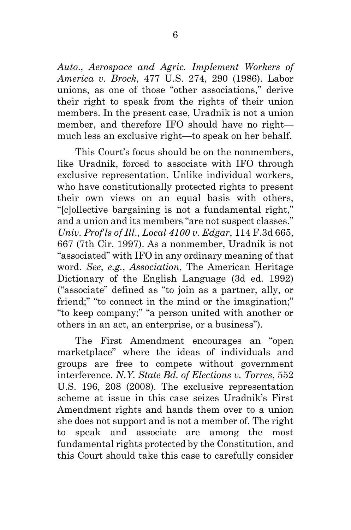*Auto*., *Aerospace and Agric. Implement Workers of America v. Brock*, 477 U.S. 274, 290 (1986). Labor unions, as one of those "other associations," derive their right to speak from the rights of their union members. In the present case, Uradnik is not a union member, and therefore IFO should have no right much less an exclusive right—to speak on her behalf.

This Court's focus should be on the nonmembers, like Uradnik, forced to associate with IFO through exclusive representation. Unlike individual workers, who have constitutionally protected rights to present their own views on an equal basis with others, "[c]ollective bargaining is not a fundamental right," and a union and its members "are not suspect classes." *Univ. Prof*'*ls of Ill*., *Local 4100 v. Edgar*, 114 F.3d 665, 667 (7th Cir. 1997). As a nonmember, Uradnik is not "associated" with IFO in any ordinary meaning of that word. *See*, *e.g.*, *Association*, The American Heritage Dictionary of the English Language (3d ed. 1992) ("associate" defined as "to join as a partner, ally, or friend;" "to connect in the mind or the imagination;" "to keep company;" "a person united with another or others in an act, an enterprise, or a business").

The First Amendment encourages an "open marketplace" where the ideas of individuals and groups are free to compete without government interference. *N.Y. State Bd. of Elections v. Torres*, 552 U.S. 196, 208 (2008). The exclusive representation scheme at issue in this case seizes Uradnik's First Amendment rights and hands them over to a union she does not support and is not a member of. The right to speak and associate are among the most fundamental rights protected by the Constitution, and this Court should take this case to carefully consider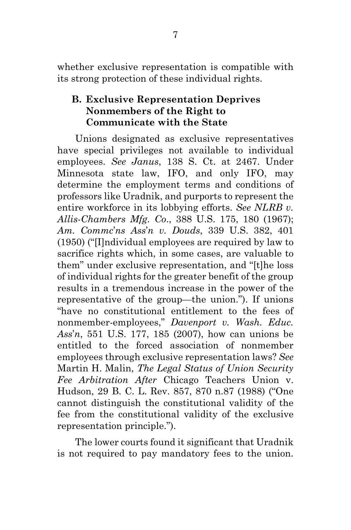whether exclusive representation is compatible with its strong protection of these individual rights.

### **B. Exclusive Representation Deprives Nonmembers of the Right to Communicate with the State**

Unions designated as exclusive representatives have special privileges not available to individual employees. *See Janus*, 138 S. Ct. at 2467. Under Minnesota state law, IFO, and only IFO, may determine the employment terms and conditions of professors like Uradnik, and purports to represent the entire workforce in its lobbying efforts. *See NLRB v. Allis-Chambers Mfg. Co*., 388 U.S. 175, 180 (1967); *Am. Commc*'*ns Ass*'*n v. Douds*, 339 U.S. 382, 401 (1950) ("[I]ndividual employees are required by law to sacrifice rights which, in some cases, are valuable to them" under exclusive representation, and "[t]he loss of individual rights for the greater benefit of the group results in a tremendous increase in the power of the representative of the group—the union."). If unions "have no constitutional entitlement to the fees of nonmember-employees," *Davenport v. Wash. Educ. Ass*'*n*, 551 U.S. 177, 185 (2007), how can unions be entitled to the forced association of nonmember employees through exclusive representation laws? *See* Martin H. Malin, *The Legal Status of Union Security Fee Arbitration After* Chicago Teachers Union v. Hudson, 29 B. C. L. Rev. 857, 870 n.87 (1988) ("One cannot distinguish the constitutional validity of the fee from the constitutional validity of the exclusive representation principle.").

The lower courts found it significant that Uradnik is not required to pay mandatory fees to the union.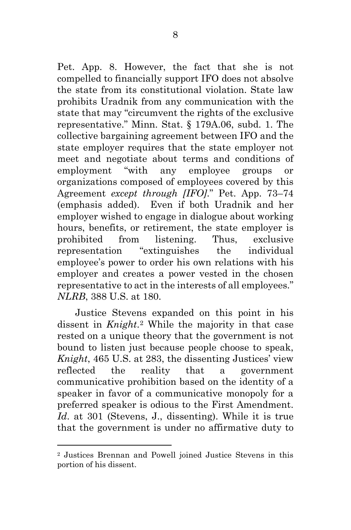Pet. App. 8. However, the fact that she is not compelled to financially support IFO does not absolve the state from its constitutional violation. State law prohibits Uradnik from any communication with the state that may "circumvent the rights of the exclusive representative." Minn. Stat. § 179A.06, subd. 1. The collective bargaining agreement between IFO and the state employer requires that the state employer not meet and negotiate about terms and conditions of employment "with any employee groups or organizations composed of employees covered by this Agreement *except through [IFO]*." Pet. App. 73–74 (emphasis added). Even if both Uradnik and her employer wished to engage in dialogue about working hours, benefits, or retirement, the state employer is prohibited from listening. Thus, exclusive representation "extinguishes the individual employee's power to order his own relations with his employer and creates a power vested in the chosen representative to act in the interests of all employees." *NLRB*, 388 U.S. at 180.

Justice Stevens expanded on this point in his dissent in *Knight*.[2](#page-14-0) While the majority in that case rested on a unique theory that the government is not bound to listen just because people choose to speak, *Knight*, 465 U.S. at 283, the dissenting Justices' view reflected the reality that a government communicative prohibition based on the identity of a speaker in favor of a communicative monopoly for a preferred speaker is odious to the First Amendment. *Id*. at 301 (Stevens, J., dissenting). While it is true that the government is under no affirmative duty to

 $\overline{a}$ 

<span id="page-14-0"></span><sup>2</sup> Justices Brennan and Powell joined Justice Stevens in this portion of his dissent.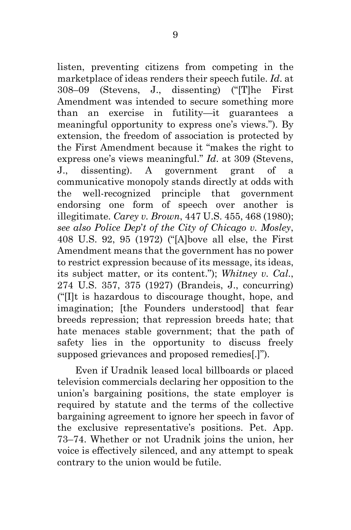listen, preventing citizens from competing in the marketplace of ideas renders their speech futile. *Id*. at 308–09 (Stevens, J., dissenting) ("[T]he First Amendment was intended to secure something more than an exercise in futility—it guarantees a meaningful opportunity to express one's views."). By extension, the freedom of association is protected by the First Amendment because it "makes the right to express one's views meaningful." *Id*. at 309 (Stevens, J., dissenting). A government grant of a communicative monopoly stands directly at odds with the well-recognized principle that government endorsing one form of speech over another is illegitimate. *Carey v. Brown*, 447 U.S. 455, 468 (1980); *see also Police Dep*'*t of the City of Chicago v. Mosley*, 408 U.S. 92, 95 (1972) ("[A]bove all else, the First Amendment means that the government has no power to restrict expression because of its message, its ideas, its subject matter, or its content."); *Whitney v. Cal*., 274 U.S. 357, 375 (1927) (Brandeis, J., concurring) ("[I]t is hazardous to discourage thought, hope, and imagination; [the Founders understood] that fear breeds repression; that repression breeds hate; that hate menaces stable government; that the path of safety lies in the opportunity to discuss freely supposed grievances and proposed remedies[.]").

Even if Uradnik leased local billboards or placed television commercials declaring her opposition to the union's bargaining positions, the state employer is required by statute and the terms of the collective bargaining agreement to ignore her speech in favor of the exclusive representative's positions. Pet. App. 73–74. Whether or not Uradnik joins the union, her voice is effectively silenced, and any attempt to speak contrary to the union would be futile.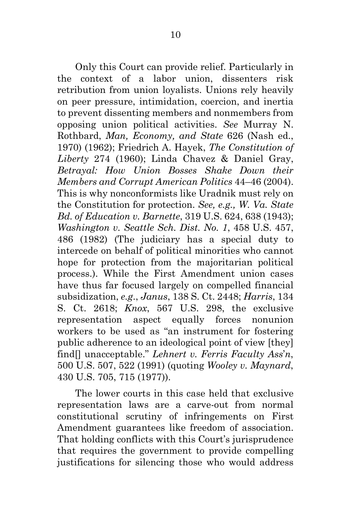Only this Court can provide relief. Particularly in the context of a labor union, dissenters risk retribution from union loyalists. Unions rely heavily on peer pressure, intimidation, coercion, and inertia to prevent dissenting members and nonmembers from opposing union political activities. *See* Murray N. Rothbard, *Man, Economy, and State* 626 (Nash ed., 1970) (1962); Friedrich A. Hayek, *The Constitution of Liberty* 274 (1960); Linda Chavez & Daniel Gray, *Betrayal: How Union Bosses Shake Down their Members and Corrupt American Politics* 44–46 (2004). This is why nonconformists like Uradnik must rely on the Constitution for protection. *See, e.g., W. Va. State Bd. of Education v. Barnette*, 319 U.S. 624, 638 (1943); *Washington v. Seattle Sch. Dist. No. 1*, 458 U.S. 457, 486 (1982) (The judiciary has a special duty to intercede on behalf of political minorities who cannot hope for protection from the majoritarian political process.). While the First Amendment union cases have thus far focused largely on compelled financial subsidization, *e.g*., *Janus*, 138 S. Ct. 2448; *Harris*, 134 S. Ct. 2618; *Knox*, 567 U.S. 298, the exclusive representation aspect equally forces nonunion workers to be used as "an instrument for fostering public adherence to an ideological point of view [they] find[] unacceptable." *Lehnert v. Ferris Faculty Ass*'*n*, 500 U.S. 507, 522 (1991) (quoting *Wooley v. Maynard*, 430 U.S. 705, 715 (1977)).

The lower courts in this case held that exclusive representation laws are a carve-out from normal constitutional scrutiny of infringements on First Amendment guarantees like freedom of association. That holding conflicts with this Court's jurisprudence that requires the government to provide compelling justifications for silencing those who would address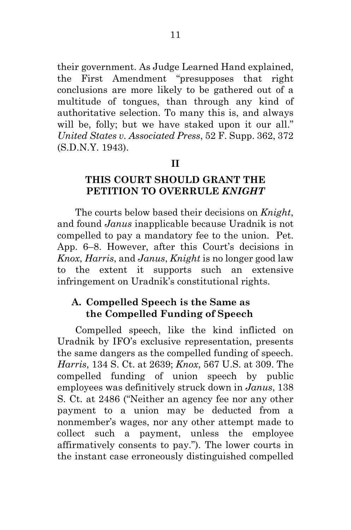their government. As Judge Learned Hand explained, the First Amendment "presupposes that right conclusions are more likely to be gathered out of a multitude of tongues, than through any kind of authoritative selection. To many this is, and always will be, folly; but we have staked upon it our all." *United States v. Associated Press*, 52 F. Supp. 362, 372 (S.D.N.Y. 1943).

#### **II**

### **THIS COURT SHOULD GRANT THE PETITION TO OVERRULE** *KNIGHT*

The courts below based their decisions on *Knight*, and found *Janus* inapplicable because Uradnik is not compelled to pay a mandatory fee to the union. Pet. App. 6–8. However, after this Court's decisions in *Knox*, *Harris*, and *Janus*, *Knight* is no longer good law to the extent it supports such an extensive infringement on Uradnik's constitutional rights.

### **A. Compelled Speech is the Same as the Compelled Funding of Speech**

Compelled speech, like the kind inflicted on Uradnik by IFO's exclusive representation, presents the same dangers as the compelled funding of speech. *Harris*, 134 S. Ct. at 2639; *Knox*, 567 U.S. at 309. The compelled funding of union speech by public employees was definitively struck down in *Janus*, 138 S. Ct. at 2486 ("Neither an agency fee nor any other payment to a union may be deducted from a nonmember's wages, nor any other attempt made to collect such a payment, unless the employee affirmatively consents to pay."). The lower courts in the instant case erroneously distinguished compelled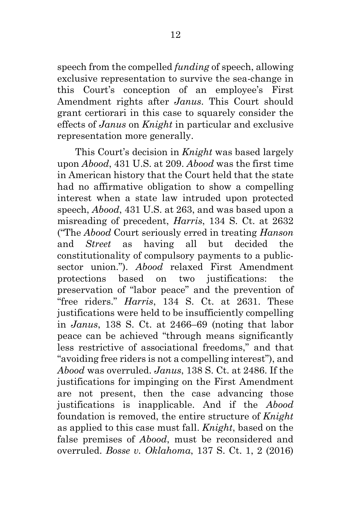speech from the compelled *funding* of speech, allowing exclusive representation to survive the sea-change in this Court's conception of an employee's First Amendment rights after *Janus*. This Court should grant certiorari in this case to squarely consider the effects of *Janus* on *Knight* in particular and exclusive representation more generally.

This Court's decision in *Knight* was based largely upon *Abood*, 431 U.S. at 209. *Abood* was the first time in American history that the Court held that the state had no affirmative obligation to show a compelling interest when a state law intruded upon protected speech, *Abood*, 431 U.S. at 263, and was based upon a misreading of precedent, *Harris*, 134 S. Ct. at 2632 ("The *Abood* Court seriously erred in treating *Hanson* and *Street* as having all but decided the constitutionality of compulsory payments to a publicsector union."). *Abood* relaxed First Amendment protections based on two justifications: the preservation of "labor peace" and the prevention of "free riders." *Harris*, 134 S. Ct. at 2631. These justifications were held to be insufficiently compelling in *Janus*, 138 S. Ct. at 2466–69 (noting that labor peace can be achieved "through means significantly less restrictive of associational freedoms," and that "avoiding free riders is not a compelling interest"), and *Abood* was overruled. *Janus*, 138 S. Ct. at 2486. If the justifications for impinging on the First Amendment are not present, then the case advancing those justifications is inapplicable. And if the *Abood* foundation is removed, the entire structure of *Knight* as applied to this case must fall. *Knight*, based on the false premises of *Abood*, must be reconsidered and overruled. *Bosse v. Oklahoma*, 137 S. Ct. 1, 2 (2016)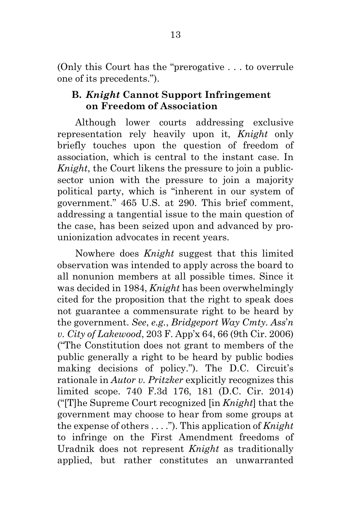(Only this Court has the "prerogative . . . to overrule one of its precedents.").

#### **B.** *Knight* **Cannot Support Infringement on Freedom of Association**

Although lower courts addressing exclusive representation rely heavily upon it, *Knight* only briefly touches upon the question of freedom of association, which is central to the instant case. In *Knight*, the Court likens the pressure to join a publicsector union with the pressure to join a majority political party, which is "inherent in our system of government." 465 U.S. at 290. This brief comment, addressing a tangential issue to the main question of the case, has been seized upon and advanced by prounionization advocates in recent years.

Nowhere does *Knight* suggest that this limited observation was intended to apply across the board to all nonunion members at all possible times. Since it was decided in 1984, *Knight* has been overwhelmingly cited for the proposition that the right to speak does not guarantee a commensurate right to be heard by the government. *See*, *e.g.*, *Bridgeport Way Cmty. Ass*'*n v. City of Lakewood*, 203 F. App'x 64, 66 (9th Cir. 2006) ("The Constitution does not grant to members of the public generally a right to be heard by public bodies making decisions of policy."). The D.C. Circuit's rationale in *Autor v. Pritzker* explicitly recognizes this limited scope. 740 F.3d 176, 181 (D.C. Cir. 2014) ("[T]he Supreme Court recognized [in *Knight*] that the government may choose to hear from some groups at the expense of others . . . ."). This application of *Knight* to infringe on the First Amendment freedoms of Uradnik does not represent *Knight* as traditionally applied, but rather constitutes an unwarranted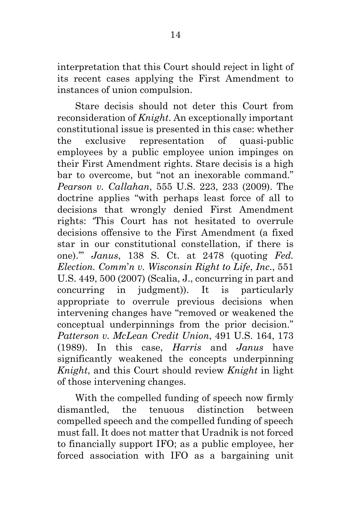interpretation that this Court should reject in light of its recent cases applying the First Amendment to instances of union compulsion.

Stare decisis should not deter this Court from reconsideration of *Knight*. An exceptionally important constitutional issue is presented in this case: whether the exclusive representation of quasi-public employees by a public employee union impinges on their First Amendment rights. Stare decisis is a high bar to overcome, but "not an inexorable command." *Pearson v. Callahan*, 555 U.S. 223, 233 (2009). The doctrine applies "with perhaps least force of all to decisions that wrongly denied First Amendment rights: 'This Court has not hesitated to overrule decisions offensive to the First Amendment (a fixed star in our constitutional constellation, if there is one).'" *Janus*, 138 S. Ct. at 2478 (quoting *Fed. Election. Comm*'*n v. Wisconsin Right to Life*, *Inc*., 551 U.S. 449, 500 (2007) (Scalia, J., concurring in part and concurring in judgment)). It is particularly appropriate to overrule previous decisions when intervening changes have "removed or weakened the conceptual underpinnings from the prior decision." *Patterson v. McLean Credit Union*, 491 U.S. 164, 173 (1989). In this case, *Harris* and *Janus* have significantly weakened the concepts underpinning *Knight*, and this Court should review *Knight* in light of those intervening changes.

With the compelled funding of speech now firmly dismantled, the tenuous distinction between compelled speech and the compelled funding of speech must fall. It does not matter that Uradnik is not forced to financially support IFO; as a public employee, her forced association with IFO as a bargaining unit